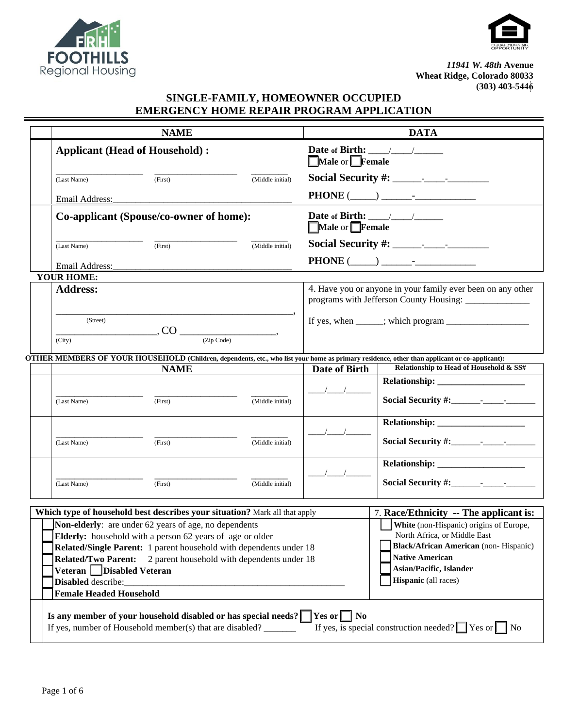



*11941 W. 48th* **Avenue Wheat Ridge, Colorado 80033 (303) 403-5446**

## **SINGLE-FAMILY, HOMEOWNER OCCUPIED EMERGENCY HOME REPAIR PROGRAM APPLICATION**

|                                                                                                                                                                                                                                       | <b>NAME</b>                                                                                                                                                                                                                             |                  | <b>DATA</b>                                                                                                           |                                                                                                                                                                                                      |  |  |  |
|---------------------------------------------------------------------------------------------------------------------------------------------------------------------------------------------------------------------------------------|-----------------------------------------------------------------------------------------------------------------------------------------------------------------------------------------------------------------------------------------|------------------|-----------------------------------------------------------------------------------------------------------------------|------------------------------------------------------------------------------------------------------------------------------------------------------------------------------------------------------|--|--|--|
| <b>Applicant (Head of Household):</b>                                                                                                                                                                                                 |                                                                                                                                                                                                                                         |                  | Date of Birth: $\frac{1}{\sqrt{1-\frac{1}{2}}}\frac{1}{\sqrt{1-\frac{1}{2}}}}$<br>Male or Female                      |                                                                                                                                                                                                      |  |  |  |
| (Last Name)                                                                                                                                                                                                                           | (First)                                                                                                                                                                                                                                 | (Middle initial) |                                                                                                                       |                                                                                                                                                                                                      |  |  |  |
| Email Address:                                                                                                                                                                                                                        |                                                                                                                                                                                                                                         |                  |                                                                                                                       |                                                                                                                                                                                                      |  |  |  |
| Co-applicant (Spouse/co-owner of home):                                                                                                                                                                                               |                                                                                                                                                                                                                                         |                  | Date of Birth: $\frac{\sqrt{2}}{2}$<br>Male or Female                                                                 |                                                                                                                                                                                                      |  |  |  |
| (First)<br>(Middle initial)<br>(Last Name)                                                                                                                                                                                            |                                                                                                                                                                                                                                         |                  |                                                                                                                       |                                                                                                                                                                                                      |  |  |  |
| Email Address:                                                                                                                                                                                                                        |                                                                                                                                                                                                                                         |                  |                                                                                                                       |                                                                                                                                                                                                      |  |  |  |
| <b>YOUR HOME:</b>                                                                                                                                                                                                                     |                                                                                                                                                                                                                                         |                  |                                                                                                                       |                                                                                                                                                                                                      |  |  |  |
| <b>Address:</b>                                                                                                                                                                                                                       |                                                                                                                                                                                                                                         |                  | 4. Have you or anyone in your family ever been on any other<br>programs with Jefferson County Housing: ______________ |                                                                                                                                                                                                      |  |  |  |
| (Street)                                                                                                                                                                                                                              |                                                                                                                                                                                                                                         |                  |                                                                                                                       |                                                                                                                                                                                                      |  |  |  |
| (City)                                                                                                                                                                                                                                |                                                                                                                                                                                                                                         |                  |                                                                                                                       |                                                                                                                                                                                                      |  |  |  |
|                                                                                                                                                                                                                                       |                                                                                                                                                                                                                                         |                  |                                                                                                                       | OTHER MEMBERS OF YOUR HOUSEHOLD (Children, dependents, etc., who list your home as primary residence, other than applicant or co-applicant):                                                         |  |  |  |
|                                                                                                                                                                                                                                       | <b>NAME</b>                                                                                                                                                                                                                             |                  | Date of Birth                                                                                                         | Relationship to Head of Household & SS#                                                                                                                                                              |  |  |  |
| (Last Name)                                                                                                                                                                                                                           | (First)                                                                                                                                                                                                                                 | (Middle initial) |                                                                                                                       |                                                                                                                                                                                                      |  |  |  |
| (Last Name)                                                                                                                                                                                                                           | (First)                                                                                                                                                                                                                                 | (Middle initial) |                                                                                                                       |                                                                                                                                                                                                      |  |  |  |
|                                                                                                                                                                                                                                       |                                                                                                                                                                                                                                         |                  |                                                                                                                       |                                                                                                                                                                                                      |  |  |  |
| (Last Name)                                                                                                                                                                                                                           | (First)                                                                                                                                                                                                                                 | (Middle initial) |                                                                                                                       |                                                                                                                                                                                                      |  |  |  |
|                                                                                                                                                                                                                                       | Which type of household best describes your situation? Mark all that apply                                                                                                                                                              |                  |                                                                                                                       | 7. Race/Ethnicity -- The applicant is:                                                                                                                                                               |  |  |  |
| <b>Related/Two Parent:</b><br>Veteran   Disabled Veteran<br>Disabled describe:<br><b>Female Headed Household</b>                                                                                                                      | Non-elderly: are under 62 years of age, no dependents<br>Elderly: household with a person 62 years of age or older<br>Related/Single Parent: 1 parent household with dependents under 18<br>2 parent household with dependents under 18 |                  |                                                                                                                       | White (non-Hispanic) origins of Europe,<br>North Africa, or Middle East<br><b>Black/African American</b> (non-Hispanic)<br><b>Native American</b><br>Asian/Pacific, Islander<br>Hispanic (all races) |  |  |  |
| Is any member of your household disabled or has special needs? $\Box$ Yes or $\Box$ No<br>If yes, is special construction needed? $\blacksquare$ Yes or $\blacksquare$ No<br>If yes, number of Household member(s) that are disabled? |                                                                                                                                                                                                                                         |                  |                                                                                                                       |                                                                                                                                                                                                      |  |  |  |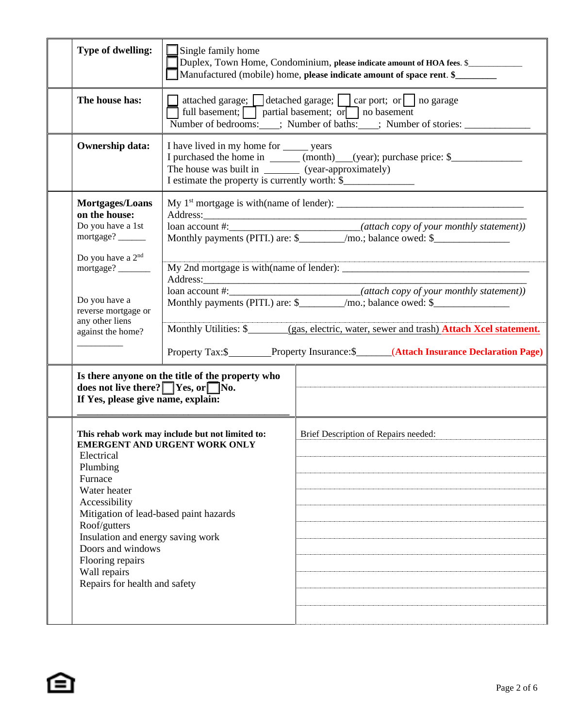| Type of dwelling:                                                                                                                                                                                                                                                                                                                                       | Single family home<br>Duplex, Town Home, Condominium, please indicate amount of HOA fees. \$<br>Manufactured (mobile) home, please indicate amount of space rent. \$                                                                                                                 |                                                                                                                                                                           |  |  |  |
|---------------------------------------------------------------------------------------------------------------------------------------------------------------------------------------------------------------------------------------------------------------------------------------------------------------------------------------------------------|--------------------------------------------------------------------------------------------------------------------------------------------------------------------------------------------------------------------------------------------------------------------------------------|---------------------------------------------------------------------------------------------------------------------------------------------------------------------------|--|--|--|
| The house has:                                                                                                                                                                                                                                                                                                                                          | attached garage; detached garage; detached parage; detached garage; detached garage; detached garage<br>full basement; $\boxed{\phantom{\cdot}}$ partial basement; or $\boxed{\phantom{\cdot}}$ no basement<br>Number of bedrooms: : : Number of baths: : : Number of stories: _____ |                                                                                                                                                                           |  |  |  |
| <b>Ownership data:</b>                                                                                                                                                                                                                                                                                                                                  | I have lived in my home for <u>same</u> years<br>I purchased the home in ______ (month)___(year); purchase price: \$______________<br>The house was built in _________ (year-approximately)<br>I estimate the property is currently worth: \$                                        |                                                                                                                                                                           |  |  |  |
| Mortgages/Loans<br>on the house:<br>Do you have a 1st<br>mortgage?<br>Do you have a 2 <sup>nd</sup><br>mortgage?                                                                                                                                                                                                                                        |                                                                                                                                                                                                                                                                                      | loan account #:___________________________(attach copy of your monthly statement))<br>Monthly payments (PITI.) are: \$_________/mo.; balance owed: \$____________________ |  |  |  |
| loan account #:____________________________(attach copy of your monthly statement))<br>Do you have a<br>Monthly payments (PITI.) are: \$_________/mo.; balance owed: \$____________________<br>reverse mortgage or<br>any other liens<br>against the home?<br>Property Tax:\$__________Property Insurance:\$________(Attach Insurance Declaration Page) |                                                                                                                                                                                                                                                                                      |                                                                                                                                                                           |  |  |  |
| does not live there? $\Box$ Yes, or $\Box$ No.<br>If Yes, please give name, explain:                                                                                                                                                                                                                                                                    | Is there anyone on the title of the property who                                                                                                                                                                                                                                     |                                                                                                                                                                           |  |  |  |
| This rehab work may include but not limited to:<br>EMERGENT AND URGENT WORK ONLY<br>Electrical<br>Plumbing<br>Furnace<br>Water heater<br>Accessibility<br>Mitigation of lead-based paint hazards<br>Roof/gutters<br>Insulation and energy saving work<br>Doors and windows<br>Flooring repairs<br>Wall repairs<br>Repairs for health and safety         |                                                                                                                                                                                                                                                                                      | Brief Description of Repairs needed:                                                                                                                                      |  |  |  |

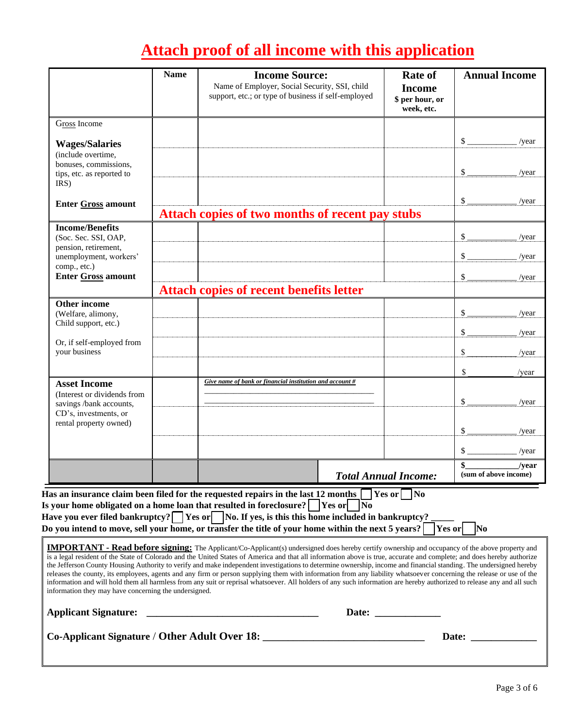# **Attach proof of all income with this application**

|                                                                                                                                                                                                                                                                                                                                                                                                                                                                                                                                                                                                                                                                                                                                                                                                                                                                                                                     | <b>Name</b> | <b>Income Source:</b><br>Name of Employer, Social Security, SSI, child<br>support, etc.; or type of business if self-employed |  | <b>Rate of</b><br><b>Income</b><br>\$ per hour, or<br>week, etc. | <b>Annual Income</b>                      |  |  |
|---------------------------------------------------------------------------------------------------------------------------------------------------------------------------------------------------------------------------------------------------------------------------------------------------------------------------------------------------------------------------------------------------------------------------------------------------------------------------------------------------------------------------------------------------------------------------------------------------------------------------------------------------------------------------------------------------------------------------------------------------------------------------------------------------------------------------------------------------------------------------------------------------------------------|-------------|-------------------------------------------------------------------------------------------------------------------------------|--|------------------------------------------------------------------|-------------------------------------------|--|--|
| Gross Income                                                                                                                                                                                                                                                                                                                                                                                                                                                                                                                                                                                                                                                                                                                                                                                                                                                                                                        |             |                                                                                                                               |  |                                                                  |                                           |  |  |
| <b>Wages/Salaries</b><br>(include overtime,<br>bonuses, commissions,<br>tips, etc. as reported to<br>IRS)                                                                                                                                                                                                                                                                                                                                                                                                                                                                                                                                                                                                                                                                                                                                                                                                           |             |                                                                                                                               |  |                                                                  | $\mathcal{S}_{-}$<br>/year<br>\$<br>/year |  |  |
| <b>Enter Gross amount</b>                                                                                                                                                                                                                                                                                                                                                                                                                                                                                                                                                                                                                                                                                                                                                                                                                                                                                           |             | Attach copies of two months of recent pay stubs                                                                               |  |                                                                  | \$<br>/year                               |  |  |
| <b>Income/Benefits</b><br>(Soc. Sec. SSI, OAP,<br>pension, retirement,<br>unemployment, workers'<br>comp., etc.)<br><b>Enter Gross amount</b>                                                                                                                                                                                                                                                                                                                                                                                                                                                                                                                                                                                                                                                                                                                                                                       |             |                                                                                                                               |  |                                                                  | \$<br>/year<br>\$<br>/year<br>\$<br>/year |  |  |
| Other income                                                                                                                                                                                                                                                                                                                                                                                                                                                                                                                                                                                                                                                                                                                                                                                                                                                                                                        |             | <b>Attach copies of recent benefits letter</b>                                                                                |  |                                                                  |                                           |  |  |
| (Welfare, alimony,<br>Child support, etc.)                                                                                                                                                                                                                                                                                                                                                                                                                                                                                                                                                                                                                                                                                                                                                                                                                                                                          |             |                                                                                                                               |  |                                                                  | \$<br>/year<br>\$<br>/year                |  |  |
| Or, if self-employed from<br>your business                                                                                                                                                                                                                                                                                                                                                                                                                                                                                                                                                                                                                                                                                                                                                                                                                                                                          |             |                                                                                                                               |  |                                                                  | \$<br>/year                               |  |  |
| <b>Asset Income</b><br>(Interest or dividends from<br>savings /bank accounts,<br>CD's, investments, or<br>rental property owned)                                                                                                                                                                                                                                                                                                                                                                                                                                                                                                                                                                                                                                                                                                                                                                                    |             | Give name of bank or financial institution and account $#$                                                                    |  |                                                                  | \$<br>/year<br>\$<br>/year<br>\$<br>/year |  |  |
|                                                                                                                                                                                                                                                                                                                                                                                                                                                                                                                                                                                                                                                                                                                                                                                                                                                                                                                     |             |                                                                                                                               |  |                                                                  | \$<br>/year                               |  |  |
|                                                                                                                                                                                                                                                                                                                                                                                                                                                                                                                                                                                                                                                                                                                                                                                                                                                                                                                     |             |                                                                                                                               |  | <b>Total Annual Income:</b>                                      | \$<br>/vear<br>(sum of above income)      |  |  |
| Has an insurance claim been filed for the requested repairs in the last 12 months $\lceil$<br>$\gamma$ Yes or $\Box$ No<br>Is your home obligated on a home loan that resulted in foreclosure? $\sqrt{\frac{1}{100}}$ Yes or $\sqrt{\frac{1}{100}}$<br>Have you ever filed bankruptcy? $\Box$ Yes or $\Box$ No. If yes, is this this home included in bankruptcy <u>?</u><br>Do you intend to move, sell your home, or transfer the title of your home within the next 5 years? $\lceil$<br>Yes or<br> No                                                                                                                                                                                                                                                                                                                                                                                                           |             |                                                                                                                               |  |                                                                  |                                           |  |  |
| <b>IMPORTANT - Read before signing:</b> The Applicant/Co-Applicant(s) undersigned does hereby certify ownership and occupancy of the above property and<br>is a legal resident of the State of Colorado and the United States of America and that all information above is true, accurate and complete; and does hereby authorize<br>the Jefferson County Housing Authority to verify and make independent investigations to determine ownership, income and financial standing. The undersigned hereby<br>releases the county, its employees, agents and any firm or person supplying them with information from any liability whatsoever concerning the release or use of the<br>information and will hold them all harmless from any suit or reprisal whatsoever. All holders of any such information are hereby authorized to release any and all such<br>information they may have concerning the undersigned. |             |                                                                                                                               |  |                                                                  |                                           |  |  |
| <b>Applicant Signature:</b>                                                                                                                                                                                                                                                                                                                                                                                                                                                                                                                                                                                                                                                                                                                                                                                                                                                                                         |             |                                                                                                                               |  | Date: $\qquad \qquad$                                            |                                           |  |  |
| Co-Applicant Signature / Other Adult Over 18:<br>Date:                                                                                                                                                                                                                                                                                                                                                                                                                                                                                                                                                                                                                                                                                                                                                                                                                                                              |             |                                                                                                                               |  |                                                                  |                                           |  |  |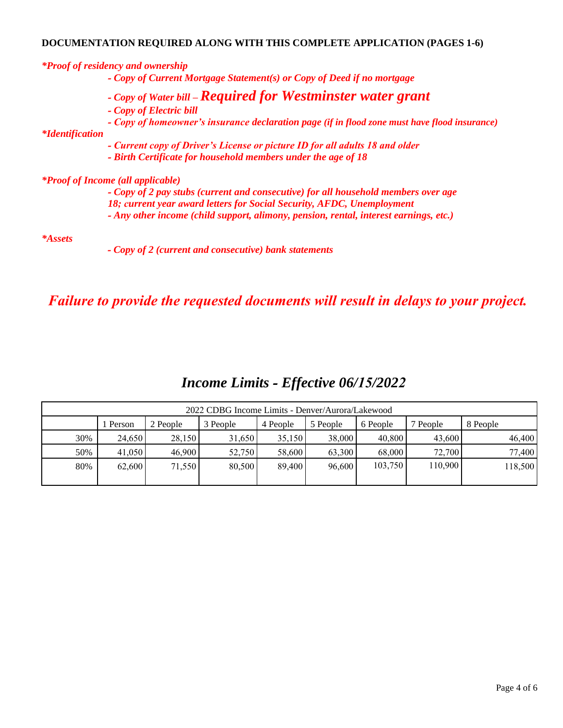### **DOCUMENTATION REQUIRED ALONG WITH THIS COMPLETE APPLICATION (PAGES 1-6)**

|                        | <i>*Proof of residency and ownership</i>                                                      |
|------------------------|-----------------------------------------------------------------------------------------------|
|                        | - Copy of Current Mortgage Statement(s) or Copy of Deed if no mortgage                        |
|                        | - Copy of Water bill - Required for Westminster water grant                                   |
|                        | - Copy of Electric bill                                                                       |
|                        | - Copy of homeowner's insurance declaration page (if in flood zone must have flood insurance) |
| <i>*Identification</i> |                                                                                               |
|                        | - Current copy of Driver's License or picture ID for all adults 18 and older                  |
|                        | - Birth Certificate for household members under the age of 18                                 |
|                        | <i>*Proof of Income (all applicable)</i>                                                      |
|                        | - Copy of 2 pay stubs (current and consecutive) for all household members over age            |
|                        | 18; current year award letters for Social Security, AFDC, Unemployment                        |
|                        | - Any other income (child support, alimony, pension, rental, interest earnings, etc.)         |
| <i>*Assets</i>         |                                                                                               |
|                        | - Copy of 2 (current and consecutive) bank statements                                         |

*Failure to provide the requested documents will result in delays to your project.*

| 2022 CDBG Income Limits - Denver/Aurora/Lakewood |        |          |          |          |          |          |          |          |
|--------------------------------------------------|--------|----------|----------|----------|----------|----------|----------|----------|
|                                                  | Person | 2 People | 3 People | 4 People | 5 People | 6 People | 7 People | 8 People |
| 30%                                              | 24,650 | 28,150   | 31,650   | 35,150   | 38,000   | 40,800   | 43,600   | 46,400   |
| 50%                                              | 41,050 | 46,900   | 52,750   | 58,600   | 63,300   | 68,000   | 72,700   | 77,400   |
| 80%                                              | 62,600 | 71,550   | 80,500   | 89.400   | 96,600   | 103,750  | 110,900  | 118,500  |
|                                                  |        |          |          |          |          |          |          |          |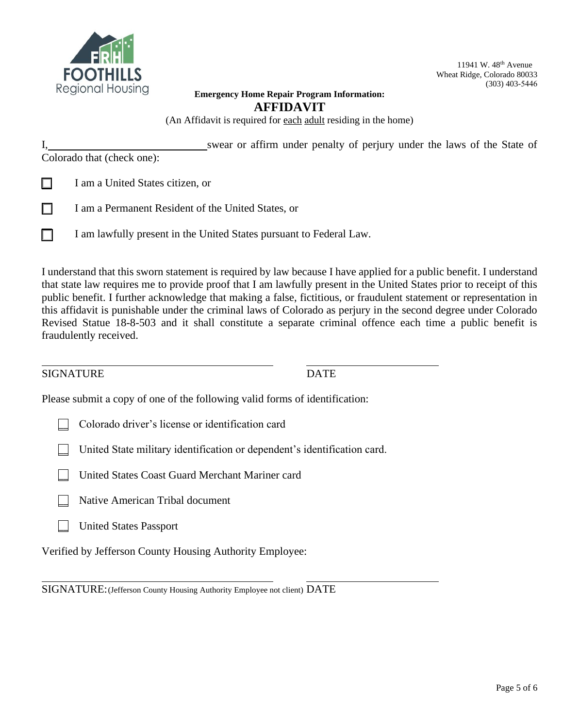

11941 W. 48<sup>th</sup> Avenue Wheat Ridge, Colorado 80033 (303) 403-5446

#### **Emergency Home Repair Program Information: AFFIDAVIT**

(An Affidavit is required for each adult residing in the home)

I, swear or affirm under penalty of perjury under the laws of the State of Colorado that (check one):

- **\_\_** I am a United States citizen, or
- **\_\_** I am a Permanent Resident of the United States, or
	- **\_\_** I am lawfully present in the United States pursuant to Federal Law.

I understand that this sworn statement is required by law because I have applied for a public benefit. I understand that state law requires me to provide proof that I am lawfully present in the United States prior to receipt of this public benefit. I further acknowledge that making a false, fictitious, or fraudulent statement or representation in this affidavit is punishable under the criminal laws of Colorado as perjury in the second degree under Colorado Revised Statue 18-8-503 and it shall constitute a separate criminal offence each time a public benefit is fraudulently received.

#### SIGNATURE DATE

Please submit a copy of one of the following valid forms of identification:

- **\_\_** Colorado driver's license or identification card
- **\_\_** United State military identification or dependent's identification card.
- **\_\_** United States Coast Guard Merchant Mariner card
- **\_\_** Native American Tribal document
- **\_\_** United States Passport

Verified by Jefferson County Housing Authority Employee:

SIGNATURE: (Jefferson County Housing Authority Employee not client) DATE